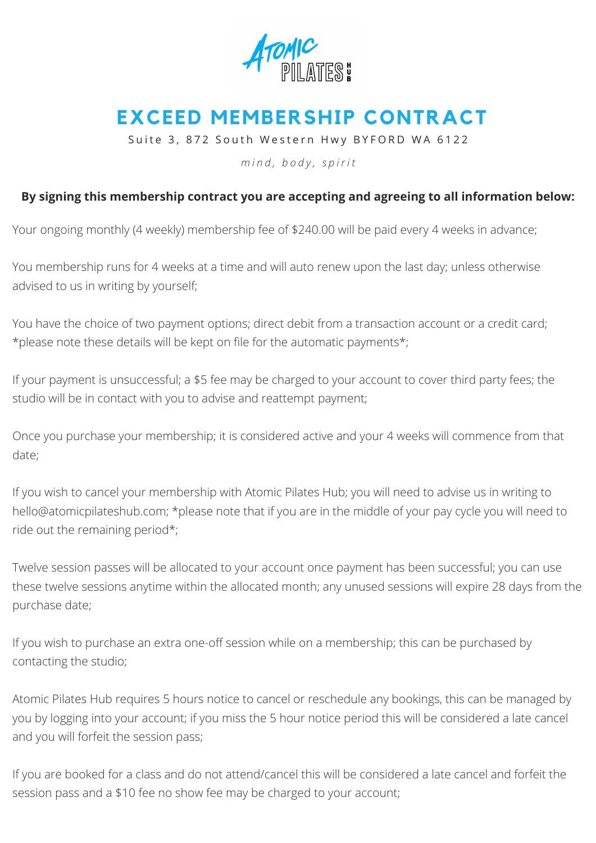

## **EXCEED MEMBERSHIP CONTRACT**

Suite 3, 872 South Western Hwy BYFORD WA 6122

*m i n d , b o d y , s p i r i t*

## **By signing this membership contract you are accepting and agreeing to all information below:**

Your ongoing monthly (4 weekly) membership fee of \$240.00 will be paid every 4 weeks in advance;

You membership runs for 4 weeks at a time and will auto renew upon the last day; unless otherwise advised to us in writing by yourself;

You have the choice of two payment options; direct debit from a transaction account or a credit card; \*please note these details will be kept on file for the automatic payments\*;

If your payment is unsuccessful; a \$5 fee may be charged to your account to cover third party fees; the studio will be in contact with you to advise and reattempt payment;

Once you purchase your membership; it is considered active and your 4 weeks will commence from that date;

If you wish to cancel your membership with Atomic Pilates Hub; you will need to advise us in writing to [hello@atomicpilateshub.com;](mailto:hello@atomicpilates.com.au) \*please note that if you are in the middle of your pay cycle you will need to ride out the remaining period\*;

Twelve session passes will be allocated to your account once payment has been successful; you can use these twelve sessions anytime within the allocated month; any unused sessions will expire 28 days from the purchase date;

If you wish to purchase an extra one-off session while on a membership; this can be purchased by contacting the studio;

Atomic Pilates Hub requires 5 hours notice to cancel or reschedule any bookings, this can be managed by you by logging into your account; if you miss the 5 hour notice period this will be considered a late cancel and you will forfeit the session pass;

If you are booked for a class and do not attend/cancel this will be considered a late cancel and forfeit the session pass and a \$10 fee no show fee may be charged to your account;